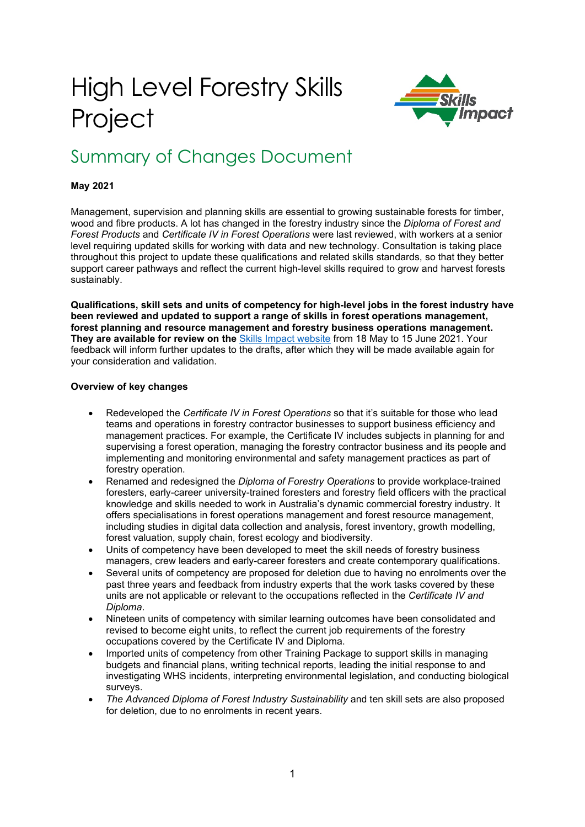# High Level Forestry Skills **Project**



# Summary of Changes Document

#### **May 2021**

Management, supervision and planning skills are essential to growing sustainable forests for timber, wood and fibre products. A lot has changed in the forestry industry since the *Diploma of Forest and Forest Products* and *Certificate IV in Forest Operations* were last reviewed, with workers at a senior level requiring updated skills for working with data and new technology. Consultation is taking place throughout this project to update these qualifications and related skills standards, so that they better support career pathways and reflect the current high-level skills required to grow and harvest forests sustainably.

**Qualifications, skill sets and units of competency for high-level jobs in the forest industry have been reviewed and updated to support a range of skills in forest operations management, forest planning and resource management and forestry business operations management. They are available for review on the** [Skills Impact website](https://www.skillsimpact.com.au/forest-management-and-harvesting/training-package-projects/high-level-forestry-skills-project/) from 18 May to 15 June 2021. Your feedback will inform further updates to the drafts, after which they will be made available again for your consideration and validation.

#### **Overview of key changes**

- Redeveloped the *Certificate IV in Forest Operations* so that it's suitable for those who lead teams and operations in forestry contractor businesses to support business efficiency and management practices. For example, the Certificate IV includes subjects in planning for and supervising a forest operation, managing the forestry contractor business and its people and implementing and monitoring environmental and safety management practices as part of forestry operation.
- Renamed and redesigned the *Diploma of Forestry Operations* to provide workplace-trained foresters, early-career university-trained foresters and forestry field officers with the practical knowledge and skills needed to work in Australia's dynamic commercial forestry industry. It offers specialisations in forest operations management and forest resource management, including studies in digital data collection and analysis, forest inventory, growth modelling, forest valuation, supply chain, forest ecology and biodiversity.
- Units of competency have been developed to meet the skill needs of forestry business managers, crew leaders and early-career foresters and create contemporary qualifications.
- Several units of competency are proposed for deletion due to having no enrolments over the past three years and feedback from industry experts that the work tasks covered by these units are not applicable or relevant to the occupations reflected in the *Certificate IV and Diploma*.
- Nineteen units of competency with similar learning outcomes have been consolidated and revised to become eight units, to reflect the current job requirements of the forestry occupations covered by the Certificate IV and Diploma.
- Imported units of competency from other Training Package to support skills in managing budgets and financial plans, writing technical reports, leading the initial response to and investigating WHS incidents, interpreting environmental legislation, and conducting biological surveys.
- *The Advanced Diploma of Forest Industry Sustainability* and ten skill sets are also proposed for deletion, due to no enrolments in recent years.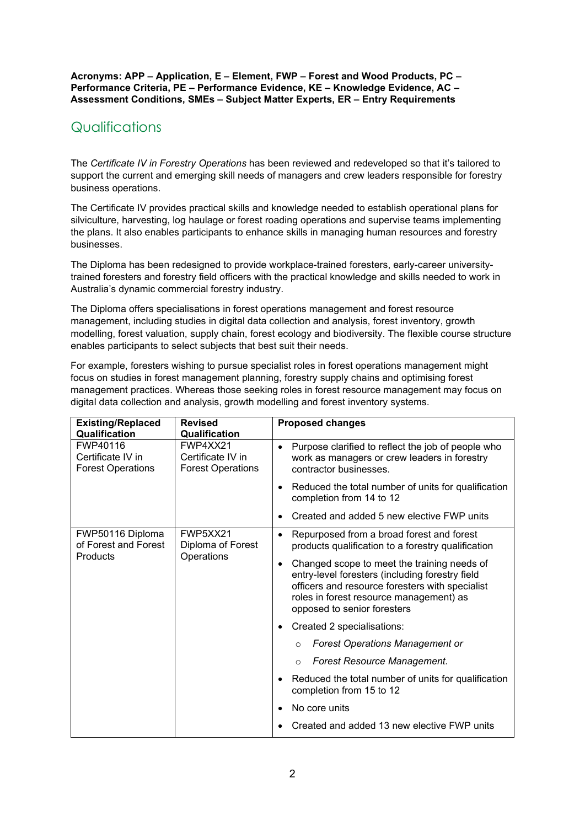**Acronyms: APP – Application, E – Element, FWP – Forest and Wood Products, PC – Performance Criteria, PE – Performance Evidence, KE – Knowledge Evidence, AC – Assessment Conditions, SMEs – Subject Matter Experts, ER – Entry Requirements**

# Qualifications

The *Certificate IV in Forestry Operations* has been reviewed and redeveloped so that it's tailored to support the current and emerging skill needs of managers and crew leaders responsible for forestry business operations.

The Certificate IV provides practical skills and knowledge needed to establish operational plans for silviculture, harvesting, log haulage or forest roading operations and supervise teams implementing the plans. It also enables participants to enhance skills in managing human resources and forestry businesses.

The Diploma has been redesigned to provide workplace-trained foresters, early-career universitytrained foresters and forestry field officers with the practical knowledge and skills needed to work in Australia's dynamic commercial forestry industry.

The Diploma offers specialisations in forest operations management and forest resource management, including studies in digital data collection and analysis, forest inventory, growth modelling, forest valuation, supply chain, forest ecology and biodiversity. The flexible course structure enables participants to select subjects that best suit their needs.

For example, foresters wishing to pursue specialist roles in forest operations management might focus on studies in forest management planning, forestry supply chains and optimising forest management practices. Whereas those seeking roles in forest resource management may focus on digital data collection and analysis, growth modelling and forest inventory systems.

| <b>Existing/Replaced</b><br>Qualification                 | <b>Revised</b><br>Qualification                           | <b>Proposed changes</b>                                                                                                                                                                                                                  |
|-----------------------------------------------------------|-----------------------------------------------------------|------------------------------------------------------------------------------------------------------------------------------------------------------------------------------------------------------------------------------------------|
| FWP40116<br>Certificate IV in<br><b>Forest Operations</b> | FWP4XX21<br>Certificate IV in<br><b>Forest Operations</b> | Purpose clarified to reflect the job of people who<br>$\bullet$<br>work as managers or crew leaders in forestry<br>contractor businesses.                                                                                                |
|                                                           |                                                           | Reduced the total number of units for qualification<br>$\bullet$<br>completion from 14 to 12                                                                                                                                             |
|                                                           |                                                           | Created and added 5 new elective FWP units                                                                                                                                                                                               |
| FWP50116 Diploma<br>of Forest and Forest                  | FWP5XX21<br>Diploma of Forest                             | Repurposed from a broad forest and forest<br>$\bullet$<br>products qualification to a forestry qualification                                                                                                                             |
|                                                           | <b>Products</b><br>Operations                             | Changed scope to meet the training needs of<br>$\bullet$<br>entry-level foresters (including forestry field<br>officers and resource foresters with specialist<br>roles in forest resource management) as<br>opposed to senior foresters |
|                                                           |                                                           | Created 2 specialisations:<br>$\bullet$                                                                                                                                                                                                  |
|                                                           |                                                           | <b>Forest Operations Management or</b><br>$\Omega$                                                                                                                                                                                       |
|                                                           |                                                           | Forest Resource Management.<br>$\circ$                                                                                                                                                                                                   |
|                                                           |                                                           | Reduced the total number of units for qualification<br>٠<br>completion from 15 to 12                                                                                                                                                     |
|                                                           |                                                           | No core units<br>$\bullet$                                                                                                                                                                                                               |
|                                                           |                                                           | Created and added 13 new elective FWP units                                                                                                                                                                                              |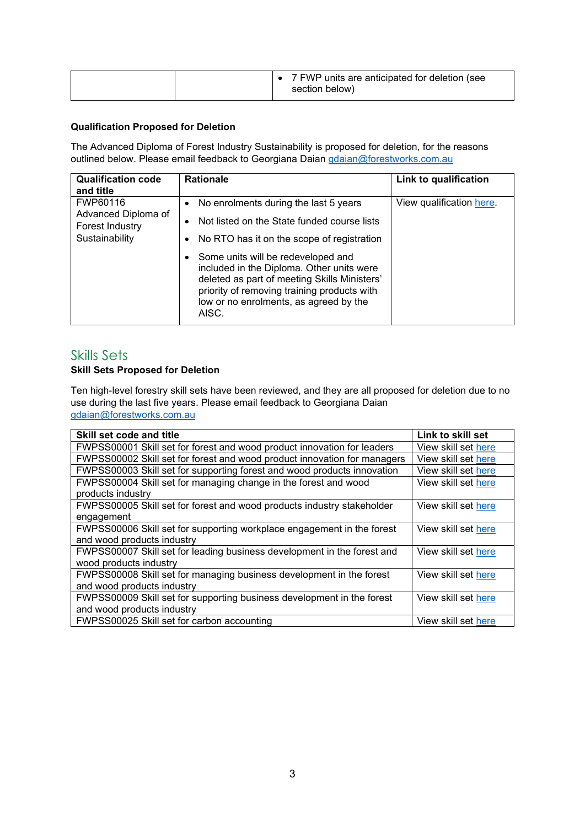|  | 7 FWP units are anticipated for deletion (see<br>section below) |
|--|-----------------------------------------------------------------|
|--|-----------------------------------------------------------------|

#### **Qualification Proposed for Deletion**

The Advanced Diploma of Forest Industry Sustainability is proposed for deletion, for the reasons outlined below. Please email feedback to Georgiana Daian [gdaian@forestworks.com.au](mailto:gdaian@forestworks.com.au)

| <b>Qualification code</b><br>and title                               | <b>Rationale</b>                                                                                                                                                                                                                                                                                                                                                                                                    | Link to qualification    |
|----------------------------------------------------------------------|---------------------------------------------------------------------------------------------------------------------------------------------------------------------------------------------------------------------------------------------------------------------------------------------------------------------------------------------------------------------------------------------------------------------|--------------------------|
| FWP60116<br>Advanced Diploma of<br>Forest Industry<br>Sustainability | No enrolments during the last 5 years<br>$\bullet$<br>Not listed on the State funded course lists<br>٠<br>No RTO has it on the scope of registration<br>$\bullet$<br>Some units will be redeveloped and<br>$\bullet$<br>included in the Diploma. Other units were<br>deleted as part of meeting Skills Ministers'<br>priority of removing training products with<br>low or no enrolments, as agreed by the<br>AISC. | View qualification here. |

### Skills Sets

#### **Skill Sets Proposed for Deletion**

Ten high-level forestry skill sets have been reviewed, and they are all proposed for deletion due to no use during the last five years. Please email feedback to Georgiana Daian [gdaian@forestworks.com.au](mailto:gdaian@forestworks.com.au)

| Skill set code and title                                                 | Link to skill set   |
|--------------------------------------------------------------------------|---------------------|
| FWPSS00001 Skill set for forest and wood product innovation for leaders  | View skill set here |
| FWPSS00002 Skill set for forest and wood product innovation for managers | View skill set here |
| FWPSS00003 Skill set for supporting forest and wood products innovation  | View skill set here |
| FWPSS00004 Skill set for managing change in the forest and wood          | View skill set here |
| products industry                                                        |                     |
| FWPSS00005 Skill set for forest and wood products industry stakeholder   | View skill set here |
| engagement                                                               |                     |
| FWPSS00006 Skill set for supporting workplace engagement in the forest   | View skill set here |
| and wood products industry                                               |                     |
| FWPSS00007 Skill set for leading business development in the forest and  | View skill set here |
| wood products industry                                                   |                     |
| FWPSS00008 Skill set for managing business development in the forest     | View skill set here |
| and wood products industry                                               |                     |
| FWPSS00009 Skill set for supporting business development in the forest   | View skill set here |
| and wood products industry                                               |                     |
| FWPSS00025 Skill set for carbon accounting                               | View skill set here |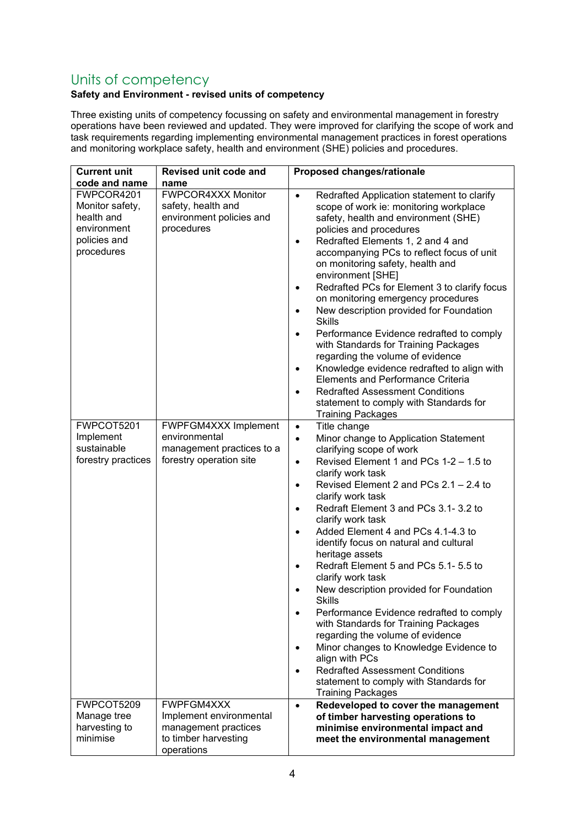# Units of competency

## **Safety and Environment - revised units of competency**

Three existing units of competency focussing on safety and environmental management in forestry operations have been reviewed and updated. They were improved for clarifying the scope of work and task requirements regarding implementing environmental management practices in forest operations and monitoring workplace safety, health and environment (SHE) policies and procedures.

| <b>Current unit</b>                                                                      | Revised unit code and                                                                               | Proposed changes/rationale                                                                                                                                                                                                                                                                                                                                                                                                                                                                                                                                                                                                                                                                                                                                                                                                                                                                               |
|------------------------------------------------------------------------------------------|-----------------------------------------------------------------------------------------------------|----------------------------------------------------------------------------------------------------------------------------------------------------------------------------------------------------------------------------------------------------------------------------------------------------------------------------------------------------------------------------------------------------------------------------------------------------------------------------------------------------------------------------------------------------------------------------------------------------------------------------------------------------------------------------------------------------------------------------------------------------------------------------------------------------------------------------------------------------------------------------------------------------------|
| code and name                                                                            | name                                                                                                |                                                                                                                                                                                                                                                                                                                                                                                                                                                                                                                                                                                                                                                                                                                                                                                                                                                                                                          |
| FWPCOR4201<br>Monitor safety,<br>health and<br>environment<br>policies and<br>procedures | FWPCOR4XXX Monitor<br>safety, health and<br>environment policies and<br>procedures                  | Redrafted Application statement to clarify<br>$\bullet$<br>scope of work ie: monitoring workplace<br>safety, health and environment (SHE)<br>policies and procedures<br>Redrafted Elements 1, 2 and 4 and<br>$\bullet$<br>accompanying PCs to reflect focus of unit<br>on monitoring safety, health and<br>environment [SHE]<br>Redrafted PCs for Element 3 to clarify focus<br>on monitoring emergency procedures<br>New description provided for Foundation<br><b>Skills</b><br>Performance Evidence redrafted to comply<br>with Standards for Training Packages<br>regarding the volume of evidence<br>Knowledge evidence redrafted to align with<br>$\bullet$<br><b>Elements and Performance Criteria</b><br><b>Redrafted Assessment Conditions</b><br>$\bullet$<br>statement to comply with Standards for<br><b>Training Packages</b>                                                               |
| FWPCOT5201<br>Implement<br>sustainable<br>forestry practices                             | FWPFGM4XXX Implement<br>environmental<br>management practices to a<br>forestry operation site       | Title change<br>$\bullet$<br>Minor change to Application Statement<br>$\bullet$<br>clarifying scope of work<br>Revised Element 1 and PCs 1-2 - 1.5 to<br>$\bullet$<br>clarify work task<br>Revised Element 2 and PCs 2.1 - 2.4 to<br>$\bullet$<br>clarify work task<br>Redraft Element 3 and PCs 3.1-3.2 to<br>$\bullet$<br>clarify work task<br>Added Element 4 and PCs 4.1-4.3 to<br>$\bullet$<br>identify focus on natural and cultural<br>heritage assets<br>Redraft Element 5 and PCs 5.1- 5.5 to<br>$\bullet$<br>clarify work task<br>New description provided for Foundation<br><b>Skills</b><br>Performance Evidence redrafted to comply<br>with Standards for Training Packages<br>regarding the volume of evidence<br>Minor changes to Knowledge Evidence to<br>align with PCs<br><b>Redrafted Assessment Conditions</b><br>statement to comply with Standards for<br><b>Training Packages</b> |
| FWPCOT5209<br>Manage tree<br>harvesting to<br>minimise                                   | FWPFGM4XXX<br>Implement environmental<br>management practices<br>to timber harvesting<br>operations | Redeveloped to cover the management<br>$\bullet$<br>of timber harvesting operations to<br>minimise environmental impact and<br>meet the environmental management                                                                                                                                                                                                                                                                                                                                                                                                                                                                                                                                                                                                                                                                                                                                         |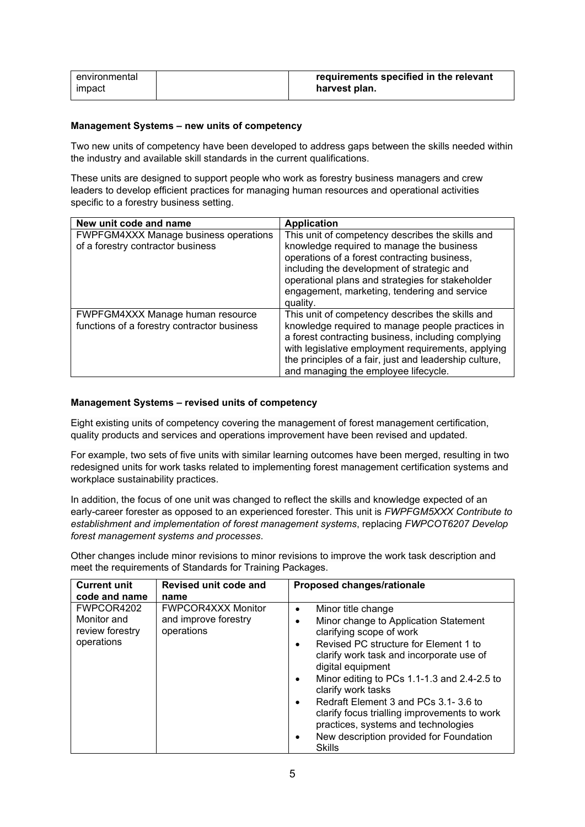| environmental | requirements specified in the relevant |
|---------------|----------------------------------------|
| <b>impact</b> | harvest plan.                          |

#### **Management Systems – new units of competency**

Two new units of competency have been developed to address gaps between the skills needed within the industry and available skill standards in the current qualifications.

These units are designed to support people who work as forestry business managers and crew leaders to develop efficient practices for managing human resources and operational activities specific to a forestry business setting.

| New unit code and name                                                            | <b>Application</b>                                                                                                                                                                                                                                                                                                 |
|-----------------------------------------------------------------------------------|--------------------------------------------------------------------------------------------------------------------------------------------------------------------------------------------------------------------------------------------------------------------------------------------------------------------|
| <b>FWPFGM4XXX Manage business operations</b><br>of a forestry contractor business | This unit of competency describes the skills and<br>knowledge required to manage the business<br>operations of a forest contracting business,<br>including the development of strategic and<br>operational plans and strategies for stakeholder<br>engagement, marketing, tendering and service<br>quality.        |
| FWPFGM4XXX Manage human resource<br>functions of a forestry contractor business   | This unit of competency describes the skills and<br>knowledge required to manage people practices in<br>a forest contracting business, including complying<br>with legislative employment requirements, applying<br>the principles of a fair, just and leadership culture,<br>and managing the employee lifecycle. |

#### **Management Systems – revised units of competency**

Eight existing units of competency covering the management of forest management certification, quality products and services and operations improvement have been revised and updated.

For example, two sets of five units with similar learning outcomes have been merged, resulting in two redesigned units for work tasks related to implementing forest management certification systems and workplace sustainability practices.

In addition, the focus of one unit was changed to reflect the skills and knowledge expected of an early-career forester as opposed to an experienced forester. This unit is *FWPFGM5XXX Contribute to establishment and implementation of forest management systems*, replacing *FWPCOT6207 Develop forest management systems and processes*.

Other changes include minor revisions to minor revisions to improve the work task description and meet the requirements of Standards for Training Packages.

| <b>Current unit</b><br>code and name                       | Revised unit code and<br>name                                   | Proposed changes/rationale                                                                                                                                                                                                                                                                                                                                                                                                                                        |
|------------------------------------------------------------|-----------------------------------------------------------------|-------------------------------------------------------------------------------------------------------------------------------------------------------------------------------------------------------------------------------------------------------------------------------------------------------------------------------------------------------------------------------------------------------------------------------------------------------------------|
| FWPCOR4202<br>Monitor and<br>review forestry<br>operations | <b>FWPCOR4XXX Monitor</b><br>and improve forestry<br>operations | Minor title change<br>Minor change to Application Statement<br>clarifying scope of work<br>Revised PC structure for Element 1 to<br>clarify work task and incorporate use of<br>digital equipment<br>Minor editing to PCs 1.1-1.3 and 2.4-2.5 to<br>clarify work tasks<br>Redraft Element 3 and PCs 3.1-3.6 to<br>clarify focus trialling improvements to work<br>practices, systems and technologies<br>New description provided for Foundation<br><b>Skills</b> |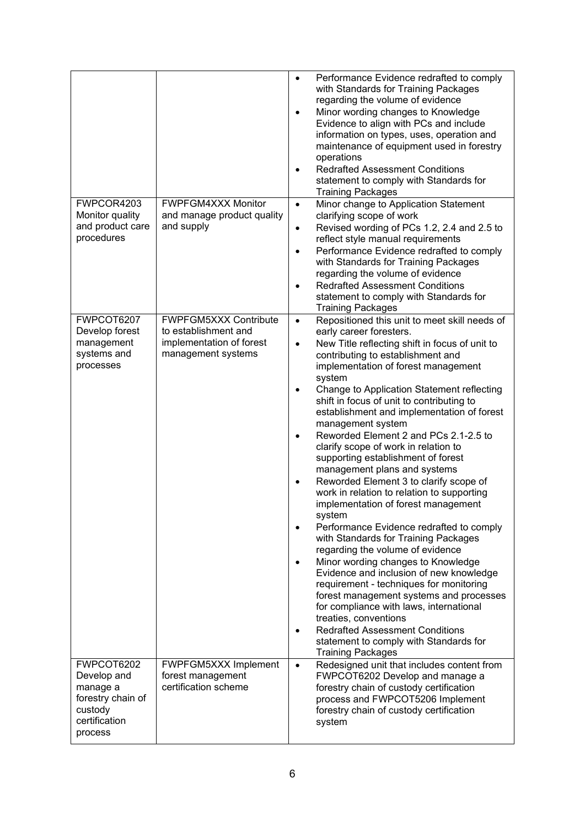|                                                                                                   |                                                                                                        | Performance Evidence redrafted to comply<br>$\bullet$<br>with Standards for Training Packages<br>regarding the volume of evidence<br>Minor wording changes to Knowledge<br>$\bullet$<br>Evidence to align with PCs and include<br>information on types, uses, operation and<br>maintenance of equipment used in forestry<br>operations<br><b>Redrafted Assessment Conditions</b><br>$\bullet$<br>statement to comply with Standards for<br><b>Training Packages</b>                                                                                                                                                                                                                                                                                                                                                                                                                                                                                                                                                                                                                                                                                                                                                                                                       |
|---------------------------------------------------------------------------------------------------|--------------------------------------------------------------------------------------------------------|---------------------------------------------------------------------------------------------------------------------------------------------------------------------------------------------------------------------------------------------------------------------------------------------------------------------------------------------------------------------------------------------------------------------------------------------------------------------------------------------------------------------------------------------------------------------------------------------------------------------------------------------------------------------------------------------------------------------------------------------------------------------------------------------------------------------------------------------------------------------------------------------------------------------------------------------------------------------------------------------------------------------------------------------------------------------------------------------------------------------------------------------------------------------------------------------------------------------------------------------------------------------------|
| FWPCOR4203<br>Monitor quality<br>and product care<br>procedures                                   | <b>FWPFGM4XXX Monitor</b><br>and manage product quality<br>and supply                                  | Minor change to Application Statement<br>$\bullet$<br>clarifying scope of work<br>Revised wording of PCs 1.2, 2.4 and 2.5 to<br>$\bullet$<br>reflect style manual requirements<br>Performance Evidence redrafted to comply<br>$\bullet$<br>with Standards for Training Packages<br>regarding the volume of evidence<br><b>Redrafted Assessment Conditions</b><br>$\bullet$<br>statement to comply with Standards for<br>Training Packages                                                                                                                                                                                                                                                                                                                                                                                                                                                                                                                                                                                                                                                                                                                                                                                                                                 |
| FWPCOT6207<br>Develop forest<br>management<br>systems and<br>processes                            | <b>FWPFGM5XXX Contribute</b><br>to establishment and<br>implementation of forest<br>management systems | Repositioned this unit to meet skill needs of<br>$\bullet$<br>early career foresters.<br>New Title reflecting shift in focus of unit to<br>$\bullet$<br>contributing to establishment and<br>implementation of forest management<br>system<br>Change to Application Statement reflecting<br>$\bullet$<br>shift in focus of unit to contributing to<br>establishment and implementation of forest<br>management system<br>Reworded Element 2 and PCs 2.1-2.5 to<br>$\bullet$<br>clarify scope of work in relation to<br>supporting establishment of forest<br>management plans and systems<br>Reworded Element 3 to clarify scope of<br>$\bullet$<br>work in relation to relation to supporting<br>implementation of forest management<br>system<br>Performance Evidence redrafted to comply<br>$\bullet$<br>with Standards for Training Packages<br>regarding the volume of evidence<br>Minor wording changes to Knowledge<br>$\bullet$<br>Evidence and inclusion of new knowledge<br>requirement - techniques for monitoring<br>forest management systems and processes<br>for compliance with laws, international<br>treaties, conventions<br><b>Redrafted Assessment Conditions</b><br>$\bullet$<br>statement to comply with Standards for<br><b>Training Packages</b> |
| FWPCOT6202<br>Develop and<br>manage a<br>forestry chain of<br>custody<br>certification<br>process | FWPFGM5XXX Implement<br>forest management<br>certification scheme                                      | Redesigned unit that includes content from<br>$\bullet$<br>FWPCOT6202 Develop and manage a<br>forestry chain of custody certification<br>process and FWPCOT5206 Implement<br>forestry chain of custody certification<br>system                                                                                                                                                                                                                                                                                                                                                                                                                                                                                                                                                                                                                                                                                                                                                                                                                                                                                                                                                                                                                                            |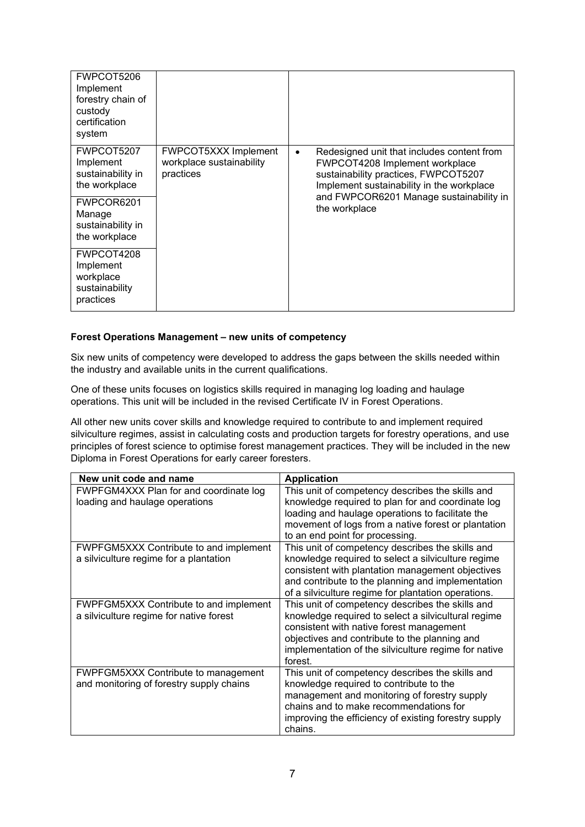| FWPCOT5206<br>Implement<br>forestry chain of<br>custody<br>certification<br>system                                          |                                                               |                                                                                                                                                                                                                                            |
|-----------------------------------------------------------------------------------------------------------------------------|---------------------------------------------------------------|--------------------------------------------------------------------------------------------------------------------------------------------------------------------------------------------------------------------------------------------|
| FWPCOT5207<br>Implement<br>sustainability in<br>the workplace<br>FWPCOR6201<br>Manage<br>sustainability in<br>the workplace | FWPCOT5XXX Implement<br>workplace sustainability<br>practices | Redesigned unit that includes content from<br>$\bullet$<br>FWPCOT4208 Implement workplace<br>sustainability practices, FWPCOT5207<br>Implement sustainability in the workplace<br>and FWPCOR6201 Manage sustainability in<br>the workplace |
| FWPCOT4208<br>Implement<br>workplace<br>sustainability<br>practices                                                         |                                                               |                                                                                                                                                                                                                                            |

#### **Forest Operations Management – new units of competency**

Six new units of competency were developed to address the gaps between the skills needed within the industry and available units in the current qualifications.

One of these units focuses on logistics skills required in managing log loading and haulage operations. This unit will be included in the revised Certificate IV in Forest Operations.

All other new units cover skills and knowledge required to contribute to and implement required silviculture regimes, assist in calculating costs and production targets for forestry operations, and use principles of forest science to optimise forest management practices. They will be included in the new Diploma in Forest Operations for early career foresters.

| New unit code and name                                                                 | <b>Application</b>                                                                                                                                                                                                                                                      |
|----------------------------------------------------------------------------------------|-------------------------------------------------------------------------------------------------------------------------------------------------------------------------------------------------------------------------------------------------------------------------|
| FWPFGM4XXX Plan for and coordinate log<br>loading and haulage operations               | This unit of competency describes the skills and<br>knowledge required to plan for and coordinate log<br>loading and haulage operations to facilitate the<br>movement of logs from a native forest or plantation<br>to an end point for processing.                     |
| FWPFGM5XXX Contribute to and implement<br>a silviculture regime for a plantation       | This unit of competency describes the skills and<br>knowledge required to select a silviculture regime<br>consistent with plantation management objectives<br>and contribute to the planning and implementation<br>of a silviculture regime for plantation operations.  |
| FWPFGM5XXX Contribute to and implement<br>a silviculture regime for native forest      | This unit of competency describes the skills and<br>knowledge required to select a silvicultural regime<br>consistent with native forest management<br>objectives and contribute to the planning and<br>implementation of the silviculture regime for native<br>forest. |
| <b>FWPFGM5XXX Contribute to management</b><br>and monitoring of forestry supply chains | This unit of competency describes the skills and<br>knowledge required to contribute to the<br>management and monitoring of forestry supply<br>chains and to make recommendations for<br>improving the efficiency of existing forestry supply<br>chains.                |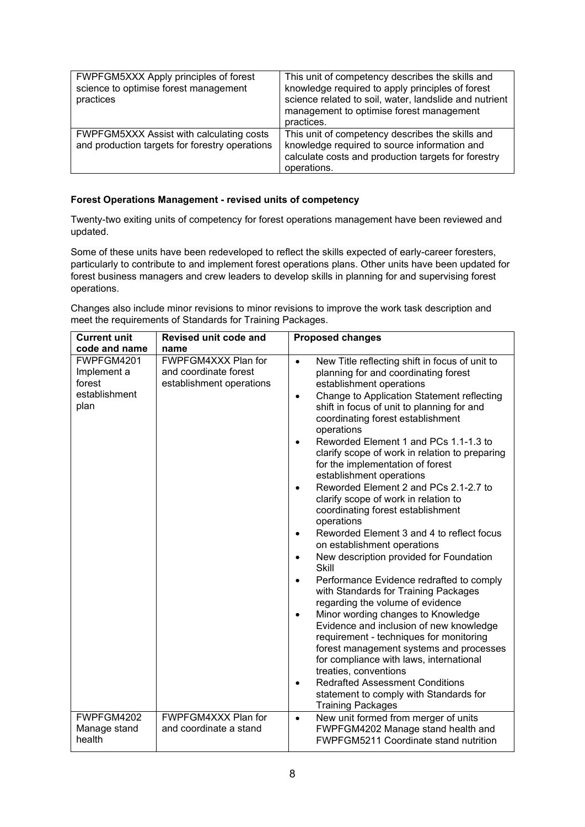| FWPFGM5XXX Apply principles of forest<br>science to optimise forest management<br>practices | This unit of competency describes the skills and<br>knowledge required to apply principles of forest<br>science related to soil, water, landslide and nutrient<br>management to optimise forest management<br>practices. |
|---------------------------------------------------------------------------------------------|--------------------------------------------------------------------------------------------------------------------------------------------------------------------------------------------------------------------------|
| FWPFGM5XXX Assist with calculating costs<br>and production targets for forestry operations  | This unit of competency describes the skills and<br>knowledge required to source information and<br>calculate costs and production targets for forestry<br>operations.                                                   |

#### **Forest Operations Management - revised units of competency**

Twenty-two exiting units of competency for forest operations management have been reviewed and updated.

Some of these units have been redeveloped to reflect the skills expected of early-career foresters, particularly to contribute to and implement forest operations plans. Other units have been updated for forest business managers and crew leaders to develop skills in planning for and supervising forest operations.

Changes also include minor revisions to minor revisions to improve the work task description and meet the requirements of Standards for Training Packages.

| <b>Current unit</b>                                          | Revised unit code and                                                    | <b>Proposed changes</b>                                                                                                                                                                                                                                                                                                                                                                                                                                                                                                                                                                                                                                                                                                                                                                                                                                                                                                                                                                                                                                                                                                                                                                                                                                                      |
|--------------------------------------------------------------|--------------------------------------------------------------------------|------------------------------------------------------------------------------------------------------------------------------------------------------------------------------------------------------------------------------------------------------------------------------------------------------------------------------------------------------------------------------------------------------------------------------------------------------------------------------------------------------------------------------------------------------------------------------------------------------------------------------------------------------------------------------------------------------------------------------------------------------------------------------------------------------------------------------------------------------------------------------------------------------------------------------------------------------------------------------------------------------------------------------------------------------------------------------------------------------------------------------------------------------------------------------------------------------------------------------------------------------------------------------|
| code and name                                                | name                                                                     |                                                                                                                                                                                                                                                                                                                                                                                                                                                                                                                                                                                                                                                                                                                                                                                                                                                                                                                                                                                                                                                                                                                                                                                                                                                                              |
| FWPFGM4201<br>Implement a<br>forest<br>establishment<br>plan | FWPFGM4XXX Plan for<br>and coordinate forest<br>establishment operations | New Title reflecting shift in focus of unit to<br>$\bullet$<br>planning for and coordinating forest<br>establishment operations<br>Change to Application Statement reflecting<br>$\bullet$<br>shift in focus of unit to planning for and<br>coordinating forest establishment<br>operations<br>Reworded Element 1 and PCs 1.1-1.3 to<br>$\bullet$<br>clarify scope of work in relation to preparing<br>for the implementation of forest<br>establishment operations<br>Reworded Element 2 and PCs 2.1-2.7 to<br>$\bullet$<br>clarify scope of work in relation to<br>coordinating forest establishment<br>operations<br>Reworded Element 3 and 4 to reflect focus<br>$\bullet$<br>on establishment operations<br>New description provided for Foundation<br>$\bullet$<br>Skill<br>Performance Evidence redrafted to comply<br>$\bullet$<br>with Standards for Training Packages<br>regarding the volume of evidence<br>Minor wording changes to Knowledge<br>$\bullet$<br>Evidence and inclusion of new knowledge<br>requirement - techniques for monitoring<br>forest management systems and processes<br>for compliance with laws, international<br>treaties, conventions<br><b>Redrafted Assessment Conditions</b><br>$\bullet$<br>statement to comply with Standards for |
|                                                              |                                                                          | <b>Training Packages</b>                                                                                                                                                                                                                                                                                                                                                                                                                                                                                                                                                                                                                                                                                                                                                                                                                                                                                                                                                                                                                                                                                                                                                                                                                                                     |
| FWPFGM4202<br>Manage stand<br>health                         | FWPFGM4XXX Plan for<br>and coordinate a stand                            | New unit formed from merger of units<br>$\bullet$<br>FWPFGM4202 Manage stand health and<br>FWPFGM5211 Coordinate stand nutrition                                                                                                                                                                                                                                                                                                                                                                                                                                                                                                                                                                                                                                                                                                                                                                                                                                                                                                                                                                                                                                                                                                                                             |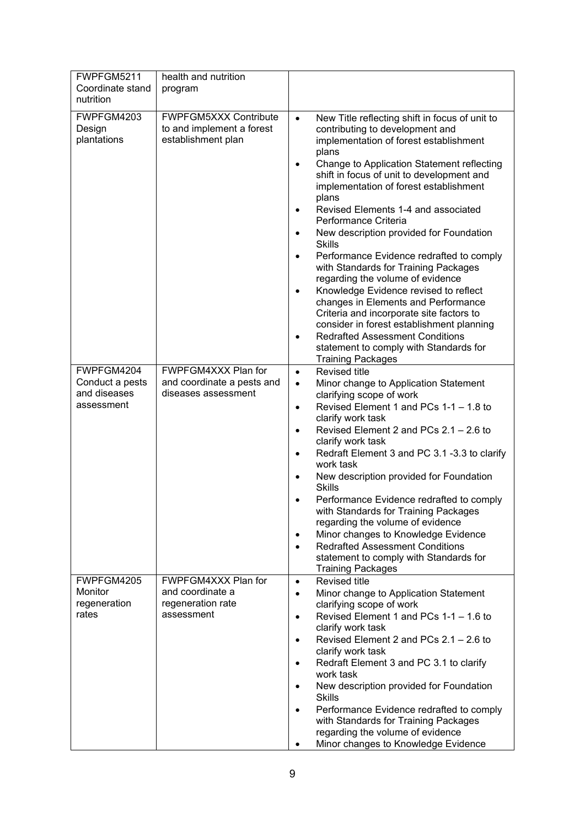| FWPFGM5211<br>Coordinate stand<br>nutrition                 | health and nutrition<br>program                                                 |                                                                                                                                                                                                                                                                                                                                                                                                                                                                                                                                                                                                                                                                                                                                                                                                                                                       |
|-------------------------------------------------------------|---------------------------------------------------------------------------------|-------------------------------------------------------------------------------------------------------------------------------------------------------------------------------------------------------------------------------------------------------------------------------------------------------------------------------------------------------------------------------------------------------------------------------------------------------------------------------------------------------------------------------------------------------------------------------------------------------------------------------------------------------------------------------------------------------------------------------------------------------------------------------------------------------------------------------------------------------|
| FWPFGM4203<br>Design<br>plantations                         | <b>FWPFGM5XXX Contribute</b><br>to and implement a forest<br>establishment plan | New Title reflecting shift in focus of unit to<br>$\bullet$<br>contributing to development and<br>implementation of forest establishment<br>plans<br>Change to Application Statement reflecting<br>٠<br>shift in focus of unit to development and<br>implementation of forest establishment<br>plans<br>Revised Elements 1-4 and associated<br>Performance Criteria<br>New description provided for Foundation<br><b>Skills</b><br>Performance Evidence redrafted to comply<br>٠<br>with Standards for Training Packages<br>regarding the volume of evidence<br>Knowledge Evidence revised to reflect<br>changes in Elements and Performance<br>Criteria and incorporate site factors to<br>consider in forest establishment planning<br><b>Redrafted Assessment Conditions</b><br>statement to comply with Standards for<br><b>Training Packages</b> |
| FWPFGM4204<br>Conduct a pests<br>and diseases<br>assessment | FWPFGM4XXX Plan for<br>and coordinate a pests and<br>diseases assessment        | <b>Revised title</b><br>$\bullet$<br>Minor change to Application Statement<br>$\bullet$<br>clarifying scope of work<br>Revised Element 1 and PCs 1-1 - 1.8 to<br>$\bullet$<br>clarify work task<br>Revised Element 2 and PCs 2.1 - 2.6 to<br>$\bullet$<br>clarify work task<br>Redraft Element 3 and PC 3.1-3.3 to clarify<br>$\bullet$<br>work task<br>New description provided for Foundation<br>٠<br><b>Skills</b><br>Performance Evidence redrafted to comply<br>with Standards for Training Packages<br>regarding the volume of evidence<br>Minor changes to Knowledge Evidence<br><b>Redrafted Assessment Conditions</b><br>statement to comply with Standards for<br><b>Training Packages</b>                                                                                                                                                  |
| FWPFGM4205<br>Monitor<br>regeneration<br>rates              | FWPFGM4XXX Plan for<br>and coordinate a<br>regeneration rate<br>assessment      | <b>Revised title</b><br>$\bullet$<br>Minor change to Application Statement<br>$\bullet$<br>clarifying scope of work<br>Revised Element 1 and PCs 1-1 - 1.6 to<br>$\bullet$<br>clarify work task<br>Revised Element 2 and PCs $2.1 - 2.6$ to<br>$\bullet$<br>clarify work task<br>Redraft Element 3 and PC 3.1 to clarify<br>٠<br>work task<br>New description provided for Foundation<br>٠<br><b>Skills</b><br>Performance Evidence redrafted to comply<br>with Standards for Training Packages<br>regarding the volume of evidence<br>Minor changes to Knowledge Evidence                                                                                                                                                                                                                                                                            |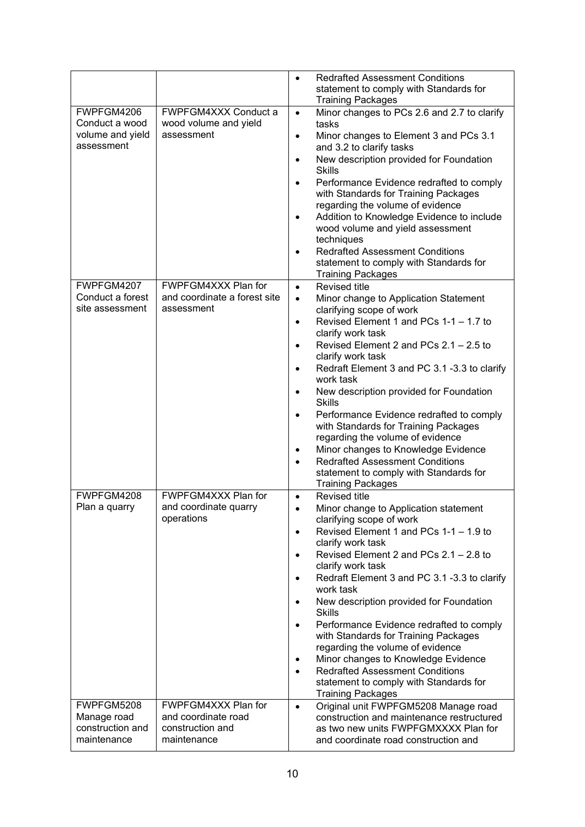|                                                |                                                        | $\bullet$ | <b>Redrafted Assessment Conditions</b><br>statement to comply with Standards for<br><b>Training Packages</b>              |
|------------------------------------------------|--------------------------------------------------------|-----------|---------------------------------------------------------------------------------------------------------------------------|
| FWPFGM4206<br>Conduct a wood                   | FWPFGM4XXX Conduct a                                   | $\bullet$ | Minor changes to PCs 2.6 and 2.7 to clarify                                                                               |
| volume and yield<br>assessment                 | wood volume and yield<br>assessment                    | $\bullet$ | tasks<br>Minor changes to Element 3 and PCs 3.1<br>and 3.2 to clarify tasks                                               |
|                                                |                                                        | $\bullet$ | New description provided for Foundation<br><b>Skills</b>                                                                  |
|                                                |                                                        | $\bullet$ | Performance Evidence redrafted to comply<br>with Standards for Training Packages                                          |
|                                                |                                                        |           | regarding the volume of evidence                                                                                          |
|                                                |                                                        |           | Addition to Knowledge Evidence to include<br>wood volume and yield assessment<br>techniques                               |
|                                                |                                                        |           | <b>Redrafted Assessment Conditions</b>                                                                                    |
|                                                |                                                        |           | statement to comply with Standards for<br><b>Training Packages</b>                                                        |
| FWPFGM4207<br>Conduct a forest                 | FWPFGM4XXX Plan for<br>and coordinate a forest site    | $\bullet$ | <b>Revised title</b>                                                                                                      |
| site assessment                                | assessment                                             | $\bullet$ | Minor change to Application Statement<br>clarifying scope of work                                                         |
|                                                |                                                        | $\bullet$ | Revised Element 1 and PCs 1-1 - 1.7 to                                                                                    |
|                                                |                                                        |           | clarify work task<br>Revised Element 2 and PCs 2.1 - 2.5 to                                                               |
|                                                |                                                        |           | clarify work task                                                                                                         |
|                                                |                                                        |           | Redraft Element 3 and PC 3.1 -3.3 to clarify<br>work task                                                                 |
|                                                |                                                        | $\bullet$ | New description provided for Foundation<br><b>Skills</b>                                                                  |
|                                                |                                                        | $\bullet$ | Performance Evidence redrafted to comply<br>with Standards for Training Packages<br>regarding the volume of evidence      |
|                                                |                                                        | $\bullet$ | Minor changes to Knowledge Evidence                                                                                       |
|                                                |                                                        | $\bullet$ | <b>Redrafted Assessment Conditions</b><br>statement to comply with Standards for<br><b>Training Packages</b>              |
| FWPFGM4208                                     | FWPFGM4XXX Plan for                                    | $\bullet$ | <b>Revised title</b>                                                                                                      |
| Plan a quarry                                  | and coordinate quarry<br>operations                    |           | Minor change to Application statement<br>clarifying scope of work                                                         |
|                                                |                                                        | $\bullet$ | Revised Element 1 and PCs 1-1 - 1.9 to<br>clarify work task                                                               |
|                                                |                                                        |           | Revised Element 2 and PCs 2.1 - 2.8 to<br>clarify work task                                                               |
|                                                |                                                        |           | Redraft Element 3 and PC 3.1 -3.3 to clarify<br>work task                                                                 |
|                                                |                                                        |           | New description provided for Foundation<br>Skills                                                                         |
|                                                |                                                        |           | Performance Evidence redrafted to comply<br>with Standards for Training Packages                                          |
|                                                |                                                        | $\bullet$ | regarding the volume of evidence<br>Minor changes to Knowledge Evidence                                                   |
|                                                |                                                        | $\bullet$ | <b>Redrafted Assessment Conditions</b><br>statement to comply with Standards for<br><b>Training Packages</b>              |
| FWPFGM5208                                     | FWPFGM4XXX Plan for                                    | $\bullet$ | Original unit FWPFGM5208 Manage road                                                                                      |
| Manage road<br>construction and<br>maintenance | and coordinate road<br>construction and<br>maintenance |           | construction and maintenance restructured<br>as two new units FWPFGMXXXX Plan for<br>and coordinate road construction and |
|                                                |                                                        |           |                                                                                                                           |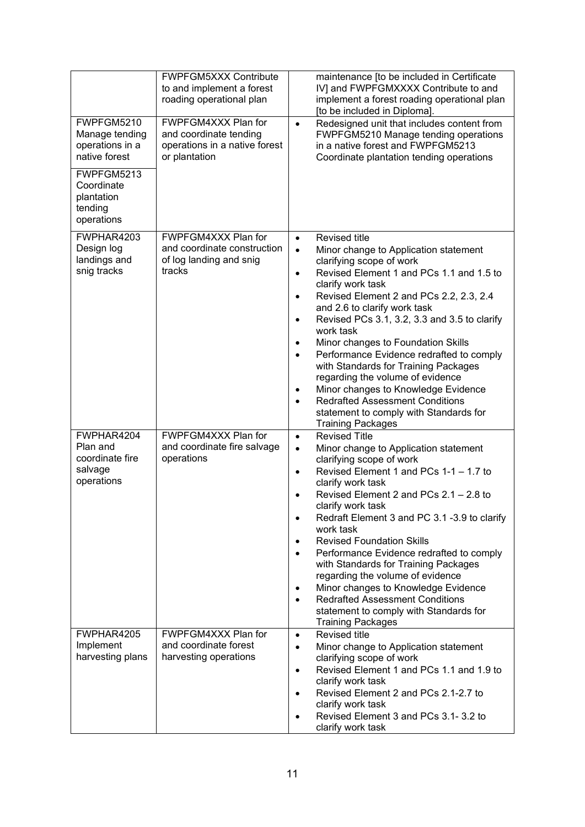|                                                                    | <b>FWPFGM5XXX Contribute</b><br>to and implement a forest<br>roading operational plan           | maintenance [to be included in Certificate<br>IV] and FWPFGMXXXX Contribute to and<br>implement a forest roading operational plan<br>[to be included in Diploma].                                                                                                                                                                                                                                                                                                                                                                                                                                                                                                                                                                    |
|--------------------------------------------------------------------|-------------------------------------------------------------------------------------------------|--------------------------------------------------------------------------------------------------------------------------------------------------------------------------------------------------------------------------------------------------------------------------------------------------------------------------------------------------------------------------------------------------------------------------------------------------------------------------------------------------------------------------------------------------------------------------------------------------------------------------------------------------------------------------------------------------------------------------------------|
| FWPFGM5210<br>Manage tending<br>operations in a<br>native forest   | FWPFGM4XXX Plan for<br>and coordinate tending<br>operations in a native forest<br>or plantation | Redesigned unit that includes content from<br>$\bullet$<br>FWPFGM5210 Manage tending operations<br>in a native forest and FWPFGM5213<br>Coordinate plantation tending operations                                                                                                                                                                                                                                                                                                                                                                                                                                                                                                                                                     |
| FWPFGM5213<br>Coordinate<br>plantation<br>tending<br>operations    |                                                                                                 |                                                                                                                                                                                                                                                                                                                                                                                                                                                                                                                                                                                                                                                                                                                                      |
| FWPHAR4203<br>Design log<br>landings and<br>snig tracks            | FWPFGM4XXX Plan for<br>and coordinate construction<br>of log landing and snig<br>tracks         | <b>Revised title</b><br>$\bullet$<br>Minor change to Application statement<br>$\bullet$<br>clarifying scope of work<br>Revised Element 1 and PCs 1.1 and 1.5 to<br>$\bullet$<br>clarify work task<br>Revised Element 2 and PCs 2.2, 2.3, 2.4<br>$\bullet$<br>and 2.6 to clarify work task<br>Revised PCs 3.1, 3.2, 3.3 and 3.5 to clarify<br>$\bullet$<br>work task<br>Minor changes to Foundation Skills<br>$\bullet$<br>Performance Evidence redrafted to comply<br>$\bullet$<br>with Standards for Training Packages<br>regarding the volume of evidence<br>Minor changes to Knowledge Evidence<br>٠<br><b>Redrafted Assessment Conditions</b><br>$\bullet$<br>statement to comply with Standards for<br><b>Training Packages</b> |
| FWPHAR4204<br>Plan and<br>coordinate fire<br>salvage<br>operations | FWPFGM4XXX Plan for<br>and coordinate fire salvage<br>operations                                | <b>Revised Title</b><br>$\bullet$<br>Minor change to Application statement<br>$\bullet$<br>clarifying scope of work<br>Revised Element 1 and PCs 1-1 - 1.7 to<br>$\bullet$<br>clarify work task<br>Revised Element 2 and PCs 2.1 - 2.8 to<br>clarify work task<br>Redraft Element 3 and PC 3.1 -3.9 to clarify<br>٠<br>work task<br><b>Revised Foundation Skills</b><br>$\bullet$<br>Performance Evidence redrafted to comply<br>with Standards for Training Packages<br>regarding the volume of evidence<br>Minor changes to Knowledge Evidence<br>٠<br><b>Redrafted Assessment Conditions</b><br>$\bullet$<br>statement to comply with Standards for<br><b>Training Packages</b>                                                   |
| FWPHAR4205<br>Implement<br>harvesting plans                        | FWPFGM4XXX Plan for<br>and coordinate forest<br>harvesting operations                           | <b>Revised title</b><br>$\bullet$<br>Minor change to Application statement<br>$\bullet$<br>clarifying scope of work<br>Revised Element 1 and PCs 1.1 and 1.9 to<br>$\bullet$<br>clarify work task<br>Revised Element 2 and PCs 2.1-2.7 to<br>$\bullet$<br>clarify work task<br>Revised Element 3 and PCs 3.1-3.2 to<br>clarify work task                                                                                                                                                                                                                                                                                                                                                                                             |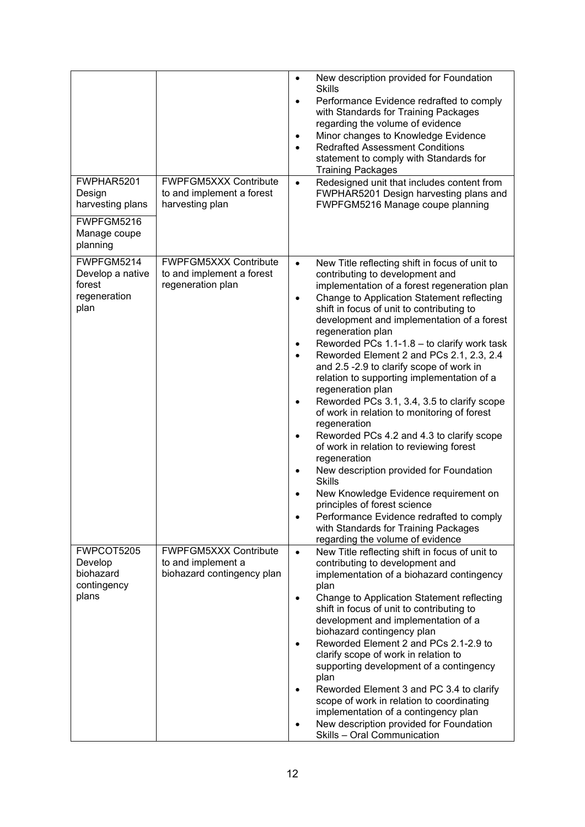| FWPHAR5201<br>Design<br>harvesting plans<br>FWPFGM5216<br>Manage coupe<br>planning | <b>FWPFGM5XXX Contribute</b><br>to and implement a forest<br>harvesting plan     | $\bullet$<br><b>Skills</b><br>$\bullet$<br>$\bullet$<br>$\bullet$                                                | New description provided for Foundation<br>Performance Evidence redrafted to comply<br>with Standards for Training Packages<br>regarding the volume of evidence<br>Minor changes to Knowledge Evidence<br><b>Redrafted Assessment Conditions</b><br>statement to comply with Standards for<br><b>Training Packages</b><br>Redesigned unit that includes content from<br>FWPHAR5201 Design harvesting plans and<br>FWPFGM5216 Manage coupe planning                                                                                                                                                                                                                                                                                                                                                                                                                                                                                          |
|------------------------------------------------------------------------------------|----------------------------------------------------------------------------------|------------------------------------------------------------------------------------------------------------------|---------------------------------------------------------------------------------------------------------------------------------------------------------------------------------------------------------------------------------------------------------------------------------------------------------------------------------------------------------------------------------------------------------------------------------------------------------------------------------------------------------------------------------------------------------------------------------------------------------------------------------------------------------------------------------------------------------------------------------------------------------------------------------------------------------------------------------------------------------------------------------------------------------------------------------------------|
| FWPFGM5214<br>Develop a native<br>forest<br>regeneration<br>plan                   | <b>FWPFGM5XXX Contribute</b><br>to and implement a forest<br>regeneration plan   | $\bullet$<br>$\bullet$<br>$\bullet$<br>$\bullet$<br>٠<br>regeneration<br>٠<br>regeneration<br>٠<br><b>Skills</b> | New Title reflecting shift in focus of unit to<br>contributing to development and<br>implementation of a forest regeneration plan<br>Change to Application Statement reflecting<br>shift in focus of unit to contributing to<br>development and implementation of a forest<br>regeneration plan<br>Reworded PCs 1.1-1.8 - to clarify work task<br>Reworded Element 2 and PCs 2.1, 2.3, 2.4<br>and 2.5 -2.9 to clarify scope of work in<br>relation to supporting implementation of a<br>regeneration plan<br>Reworded PCs 3.1, 3.4, 3.5 to clarify scope<br>of work in relation to monitoring of forest<br>Reworded PCs 4.2 and 4.3 to clarify scope<br>of work in relation to reviewing forest<br>New description provided for Foundation<br>New Knowledge Evidence requirement on<br>principles of forest science<br>Performance Evidence redrafted to comply<br>with Standards for Training Packages<br>regarding the volume of evidence |
| FWPCOT5205<br>Develop<br>biohazard<br>contingency<br>plans                         | <b>FWPFGM5XXX Contribute</b><br>to and implement a<br>biohazard contingency plan | $\bullet$<br>plan<br>$\bullet$<br>$\bullet$<br>plan<br>$\bullet$                                                 | New Title reflecting shift in focus of unit to<br>contributing to development and<br>implementation of a biohazard contingency<br>Change to Application Statement reflecting<br>shift in focus of unit to contributing to<br>development and implementation of a<br>biohazard contingency plan<br>Reworded Element 2 and PCs 2.1-2.9 to<br>clarify scope of work in relation to<br>supporting development of a contingency<br>Reworded Element 3 and PC 3.4 to clarify<br>scope of work in relation to coordinating<br>implementation of a contingency plan<br>New description provided for Foundation<br>Skills - Oral Communication                                                                                                                                                                                                                                                                                                       |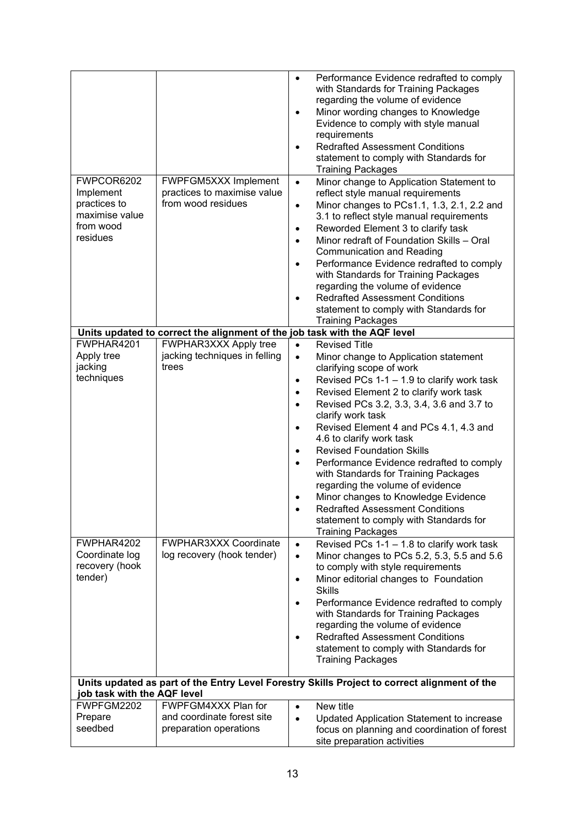|                             |                                                                           | $\bullet$ | Performance Evidence redrafted to comply<br>with Standards for Training Packages             |
|-----------------------------|---------------------------------------------------------------------------|-----------|----------------------------------------------------------------------------------------------|
|                             |                                                                           |           | regarding the volume of evidence                                                             |
|                             |                                                                           | $\bullet$ | Minor wording changes to Knowledge<br>Evidence to comply with style manual                   |
|                             |                                                                           |           | requirements                                                                                 |
|                             |                                                                           | $\bullet$ | <b>Redrafted Assessment Conditions</b>                                                       |
|                             |                                                                           |           | statement to comply with Standards for                                                       |
|                             |                                                                           |           | <b>Training Packages</b>                                                                     |
| FWPCOR6202<br>Implement     | FWPFGM5XXX Implement<br>practices to maximise value                       | $\bullet$ | Minor change to Application Statement to                                                     |
| practices to                | from wood residues                                                        | $\bullet$ | reflect style manual requirements<br>Minor changes to PCs1.1, 1.3, 2.1, 2.2 and              |
| maximise value              |                                                                           |           | 3.1 to reflect style manual requirements                                                     |
| from wood                   |                                                                           | $\bullet$ | Reworded Element 3 to clarify task                                                           |
| residues                    |                                                                           | $\bullet$ | Minor redraft of Foundation Skills - Oral                                                    |
|                             |                                                                           |           | <b>Communication and Reading</b>                                                             |
|                             |                                                                           | $\bullet$ | Performance Evidence redrafted to comply                                                     |
|                             |                                                                           |           | with Standards for Training Packages                                                         |
|                             |                                                                           |           | regarding the volume of evidence                                                             |
|                             |                                                                           |           | <b>Redrafted Assessment Conditions</b>                                                       |
|                             |                                                                           |           | statement to comply with Standards for                                                       |
|                             |                                                                           |           | <b>Training Packages</b>                                                                     |
|                             | Units updated to correct the alignment of the job task with the AQF level |           |                                                                                              |
| FWPHAR4201                  | FWPHAR3XXX Apply tree                                                     | $\bullet$ | <b>Revised Title</b>                                                                         |
| Apply tree                  | jacking techniques in felling                                             | $\bullet$ | Minor change to Application statement                                                        |
| jacking                     | trees                                                                     |           | clarifying scope of work                                                                     |
| techniques                  |                                                                           | $\bullet$ | Revised PCs $1-1-1.9$ to clarify work task                                                   |
|                             |                                                                           | $\bullet$ | Revised Element 2 to clarify work task                                                       |
|                             |                                                                           | $\bullet$ | Revised PCs 3.2, 3.3, 3.4, 3.6 and 3.7 to                                                    |
|                             |                                                                           |           | clarify work task                                                                            |
|                             |                                                                           | $\bullet$ | Revised Element 4 and PCs 4.1, 4.3 and<br>4.6 to clarify work task                           |
|                             |                                                                           | $\bullet$ | <b>Revised Foundation Skills</b>                                                             |
|                             |                                                                           |           | Performance Evidence redrafted to comply                                                     |
|                             |                                                                           |           | with Standards for Training Packages                                                         |
|                             |                                                                           |           | regarding the volume of evidence                                                             |
|                             |                                                                           |           | Minor changes to Knowledge Evidence                                                          |
|                             |                                                                           |           | <b>Redrafted Assessment Conditions</b>                                                       |
|                             |                                                                           |           | statement to comply with Standards for                                                       |
|                             |                                                                           |           | <b>Training Packages</b>                                                                     |
| FWPHAR4202                  | FWPHAR3XXX Coordinate                                                     | $\bullet$ | Revised PCs 1-1 - 1.8 to clarify work task                                                   |
| Coordinate log              | log recovery (hook tender)                                                | $\bullet$ | Minor changes to PCs 5.2, 5.3, 5.5 and 5.6                                                   |
| recovery (hook<br>tender)   |                                                                           |           | to comply with style requirements                                                            |
|                             |                                                                           | $\bullet$ | Minor editorial changes to Foundation<br><b>Skills</b>                                       |
|                             |                                                                           | $\bullet$ | Performance Evidence redrafted to comply                                                     |
|                             |                                                                           |           | with Standards for Training Packages                                                         |
|                             |                                                                           |           | regarding the volume of evidence                                                             |
|                             |                                                                           |           | <b>Redrafted Assessment Conditions</b>                                                       |
|                             |                                                                           |           | statement to comply with Standards for                                                       |
|                             |                                                                           |           | <b>Training Packages</b>                                                                     |
|                             |                                                                           |           | Units updated as part of the Entry Level Forestry Skills Project to correct alignment of the |
| job task with the AQF level |                                                                           |           |                                                                                              |
| FWPFGM2202                  | FWPFGM4XXX Plan for                                                       | $\bullet$ | New title                                                                                    |
| Prepare                     | and coordinate forest site                                                | $\bullet$ | Updated Application Statement to increase                                                    |
| seedbed                     | preparation operations                                                    |           | focus on planning and coordination of forest                                                 |
|                             |                                                                           |           | site preparation activities                                                                  |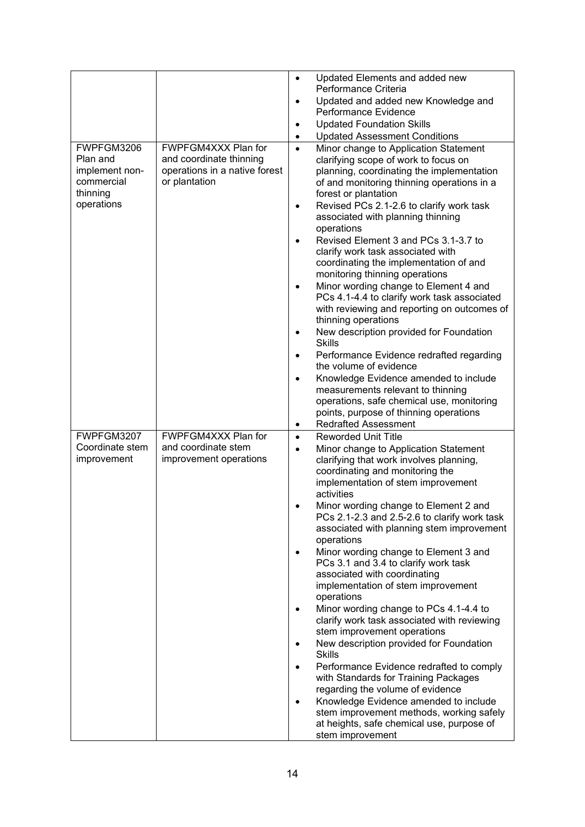|                                                                                  |                                                                                                  | $\bullet$<br>$\bullet$                     | Updated Elements and added new<br>Performance Criteria<br>Updated and added new Knowledge and<br>Performance Evidence                                                                                                                                                                                                                                                                                                                                                                                                                                                                                                                                                                                                                                                                             |
|----------------------------------------------------------------------------------|--------------------------------------------------------------------------------------------------|--------------------------------------------|---------------------------------------------------------------------------------------------------------------------------------------------------------------------------------------------------------------------------------------------------------------------------------------------------------------------------------------------------------------------------------------------------------------------------------------------------------------------------------------------------------------------------------------------------------------------------------------------------------------------------------------------------------------------------------------------------------------------------------------------------------------------------------------------------|
|                                                                                  |                                                                                                  | ٠                                          | <b>Updated Foundation Skills</b>                                                                                                                                                                                                                                                                                                                                                                                                                                                                                                                                                                                                                                                                                                                                                                  |
|                                                                                  |                                                                                                  | ٠                                          | <b>Updated Assessment Conditions</b>                                                                                                                                                                                                                                                                                                                                                                                                                                                                                                                                                                                                                                                                                                                                                              |
| FWPFGM3206<br>Plan and<br>implement non-<br>commercial<br>thinning<br>operations | FWPFGM4XXX Plan for<br>and coordinate thinning<br>operations in a native forest<br>or plantation | $\bullet$<br>$\bullet$<br>٠<br>٠<br>٠<br>٠ | Minor change to Application Statement<br>clarifying scope of work to focus on<br>planning, coordinating the implementation<br>of and monitoring thinning operations in a<br>forest or plantation<br>Revised PCs 2.1-2.6 to clarify work task<br>associated with planning thinning<br>operations<br>Revised Element 3 and PCs 3.1-3.7 to<br>clarify work task associated with<br>coordinating the implementation of and<br>monitoring thinning operations<br>Minor wording change to Element 4 and<br>PCs 4.1-4.4 to clarify work task associated<br>with reviewing and reporting on outcomes of<br>thinning operations<br>New description provided for Foundation<br><b>Skills</b><br>Performance Evidence redrafted regarding<br>the volume of evidence<br>Knowledge Evidence amended to include |
|                                                                                  |                                                                                                  |                                            | measurements relevant to thinning                                                                                                                                                                                                                                                                                                                                                                                                                                                                                                                                                                                                                                                                                                                                                                 |
|                                                                                  |                                                                                                  |                                            | operations, safe chemical use, monitoring<br>points, purpose of thinning operations                                                                                                                                                                                                                                                                                                                                                                                                                                                                                                                                                                                                                                                                                                               |
|                                                                                  |                                                                                                  | ٠                                          | <b>Redrafted Assessment</b>                                                                                                                                                                                                                                                                                                                                                                                                                                                                                                                                                                                                                                                                                                                                                                       |
| FWPFGM3207                                                                       | FWPFGM4XXX Plan for                                                                              | $\bullet$                                  | <b>Reworded Unit Title</b>                                                                                                                                                                                                                                                                                                                                                                                                                                                                                                                                                                                                                                                                                                                                                                        |
| Coordinate stem<br>improvement                                                   | and coordinate stem<br>improvement operations                                                    | $\bullet$                                  | Minor change to Application Statement<br>clarifying that work involves planning,<br>coordinating and monitoring the<br>implementation of stem improvement<br>activities                                                                                                                                                                                                                                                                                                                                                                                                                                                                                                                                                                                                                           |
|                                                                                  |                                                                                                  |                                            | Minor wording change to Element 2 and<br>PCs 2.1-2.3 and 2.5-2.6 to clarify work task<br>associated with planning stem improvement<br>operations                                                                                                                                                                                                                                                                                                                                                                                                                                                                                                                                                                                                                                                  |
|                                                                                  |                                                                                                  |                                            | Minor wording change to Element 3 and<br>PCs 3.1 and 3.4 to clarify work task<br>associated with coordinating<br>implementation of stem improvement<br>operations                                                                                                                                                                                                                                                                                                                                                                                                                                                                                                                                                                                                                                 |
|                                                                                  |                                                                                                  | ٠                                          | Minor wording change to PCs 4.1-4.4 to<br>clarify work task associated with reviewing<br>stem improvement operations<br>New description provided for Foundation                                                                                                                                                                                                                                                                                                                                                                                                                                                                                                                                                                                                                                   |
|                                                                                  |                                                                                                  | ٠                                          | <b>Skills</b><br>Performance Evidence redrafted to comply                                                                                                                                                                                                                                                                                                                                                                                                                                                                                                                                                                                                                                                                                                                                         |
|                                                                                  |                                                                                                  |                                            | with Standards for Training Packages<br>regarding the volume of evidence<br>Knowledge Evidence amended to include                                                                                                                                                                                                                                                                                                                                                                                                                                                                                                                                                                                                                                                                                 |
|                                                                                  |                                                                                                  |                                            | stem improvement methods, working safely<br>at heights, safe chemical use, purpose of<br>stem improvement                                                                                                                                                                                                                                                                                                                                                                                                                                                                                                                                                                                                                                                                                         |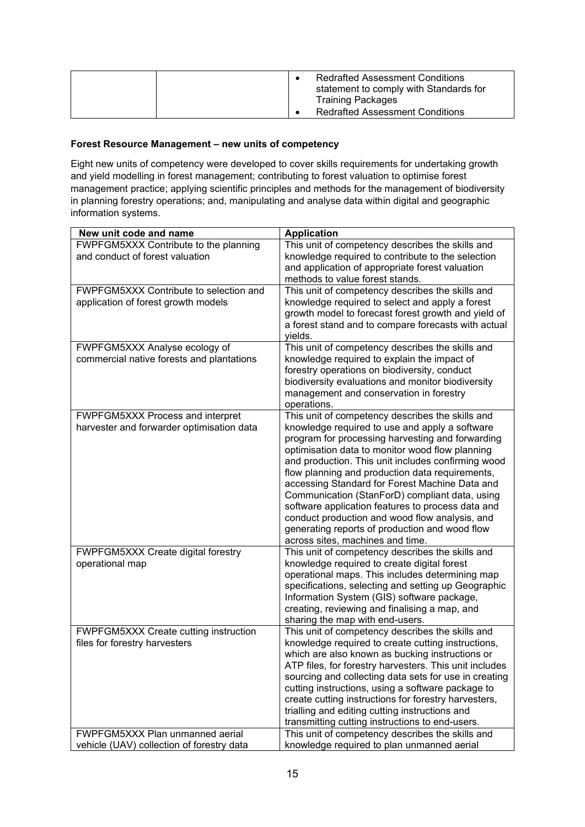|  | <b>Redrafted Assessment Conditions</b><br>statement to comply with Standards for<br><b>Training Packages</b><br><b>Redrafted Assessment Conditions</b> |
|--|--------------------------------------------------------------------------------------------------------------------------------------------------------|
|--|--------------------------------------------------------------------------------------------------------------------------------------------------------|

#### **Forest Resource Management – new units of competency**

Eight new units of competency were developed to cover skills requirements for undertaking growth and yield modelling in forest management; contributing to forest valuation to optimise forest management practice; applying scientific principles and methods for the management of biodiversity in planning forestry operations; and, manipulating and analyse data within digital and geographic information systems.

| New unit code and name                    | <b>Application</b>                                                                                              |
|-------------------------------------------|-----------------------------------------------------------------------------------------------------------------|
| FWPFGM5XXX Contribute to the planning     | This unit of competency describes the skills and                                                                |
| and conduct of forest valuation           | knowledge required to contribute to the selection                                                               |
|                                           | and application of appropriate forest valuation                                                                 |
|                                           | methods to value forest stands.                                                                                 |
| FWPFGM5XXX Contribute to selection and    | This unit of competency describes the skills and                                                                |
| application of forest growth models       | knowledge required to select and apply a forest                                                                 |
|                                           | growth model to forecast forest growth and yield of                                                             |
|                                           | a forest stand and to compare forecasts with actual<br>yields.                                                  |
| FWPFGM5XXX Analyse ecology of             | This unit of competency describes the skills and                                                                |
| commercial native forests and plantations | knowledge required to explain the impact of                                                                     |
|                                           | forestry operations on biodiversity, conduct                                                                    |
|                                           | biodiversity evaluations and monitor biodiversity                                                               |
|                                           | management and conservation in forestry                                                                         |
|                                           | operations.                                                                                                     |
| FWPFGM5XXX Process and interpret          | This unit of competency describes the skills and                                                                |
| harvester and forwarder optimisation data | knowledge required to use and apply a software                                                                  |
|                                           | program for processing harvesting and forwarding                                                                |
|                                           | optimisation data to monitor wood flow planning                                                                 |
|                                           | and production. This unit includes confirming wood                                                              |
|                                           | flow planning and production data requirements,                                                                 |
|                                           | accessing Standard for Forest Machine Data and                                                                  |
|                                           | Communication (StanForD) compliant data, using<br>software application features to process data and             |
|                                           | conduct production and wood flow analysis, and                                                                  |
|                                           | generating reports of production and wood flow                                                                  |
|                                           | across sites, machines and time.                                                                                |
| FWPFGM5XXX Create digital forestry        | This unit of competency describes the skills and                                                                |
| operational map                           | knowledge required to create digital forest                                                                     |
|                                           | operational maps. This includes determining map                                                                 |
|                                           | specifications, selecting and setting up Geographic                                                             |
|                                           | Information System (GIS) software package,                                                                      |
|                                           | creating, reviewing and finalising a map, and                                                                   |
|                                           | sharing the map with end-users.                                                                                 |
| FWPFGM5XXX Create cutting instruction     | This unit of competency describes the skills and                                                                |
| files for forestry harvesters             | knowledge required to create cutting instructions,                                                              |
|                                           | which are also known as bucking instructions or                                                                 |
|                                           | ATP files, for forestry harvesters. This unit includes<br>sourcing and collecting data sets for use in creating |
|                                           | cutting instructions, using a software package to                                                               |
|                                           | create cutting instructions for forestry harvesters,                                                            |
|                                           | trialling and editing cutting instructions and                                                                  |
|                                           | transmitting cutting instructions to end-users.                                                                 |
| FWPFGM5XXX Plan unmanned aerial           | This unit of competency describes the skills and                                                                |
| vehicle (UAV) collection of forestry data | knowledge required to plan unmanned aerial                                                                      |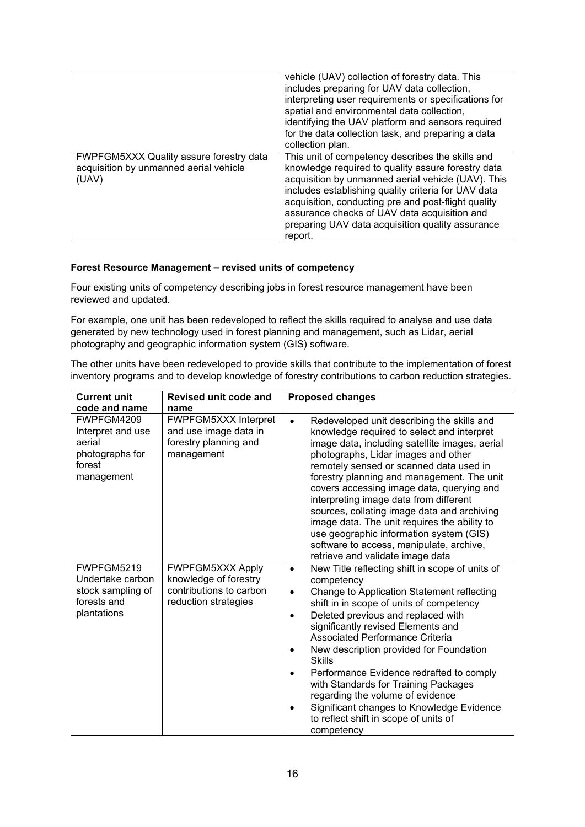|                                                                                            | vehicle (UAV) collection of forestry data. This<br>includes preparing for UAV data collection,<br>interpreting user requirements or specifications for<br>spatial and environmental data collection,<br>identifying the UAV platform and sensors required<br>for the data collection task, and preparing a data<br>collection plan.                                                       |
|--------------------------------------------------------------------------------------------|-------------------------------------------------------------------------------------------------------------------------------------------------------------------------------------------------------------------------------------------------------------------------------------------------------------------------------------------------------------------------------------------|
| FWPFGM5XXX Quality assure forestry data<br>acquisition by unmanned aerial vehicle<br>(UAV) | This unit of competency describes the skills and<br>knowledge required to quality assure forestry data<br>acquisition by unmanned aerial vehicle (UAV). This<br>includes establishing quality criteria for UAV data<br>acquisition, conducting pre and post-flight quality<br>assurance checks of UAV data acquisition and<br>preparing UAV data acquisition quality assurance<br>report. |

#### **Forest Resource Management – revised units of competency**

Four existing units of competency describing jobs in forest resource management have been reviewed and updated.

For example, one unit has been redeveloped to reflect the skills required to analyse and use data generated by new technology used in forest planning and management, such as Lidar, aerial photography and geographic information system (GIS) software.

The other units have been redeveloped to provide skills that contribute to the implementation of forest inventory programs and to develop knowledge of forestry contributions to carbon reduction strategies.

| <b>Current unit</b>                                                                  | Revised unit code and                                                                               | <b>Proposed changes</b>                                                                                                                                                                                                                                                                                                                                                                                                                                                                                                                                                                                    |  |  |
|--------------------------------------------------------------------------------------|-----------------------------------------------------------------------------------------------------|------------------------------------------------------------------------------------------------------------------------------------------------------------------------------------------------------------------------------------------------------------------------------------------------------------------------------------------------------------------------------------------------------------------------------------------------------------------------------------------------------------------------------------------------------------------------------------------------------------|--|--|
| code and name                                                                        | name                                                                                                |                                                                                                                                                                                                                                                                                                                                                                                                                                                                                                                                                                                                            |  |  |
| FWPFGM4209<br>Interpret and use<br>aerial<br>photographs for<br>forest<br>management | <b>FWPFGM5XXX Interpret</b><br>and use image data in<br>forestry planning and<br>management         | Redeveloped unit describing the skills and<br>$\bullet$<br>knowledge required to select and interpret<br>image data, including satellite images, aerial<br>photographs, Lidar images and other<br>remotely sensed or scanned data used in<br>forestry planning and management. The unit<br>covers accessing image data, querying and<br>interpreting image data from different<br>sources, collating image data and archiving<br>image data. The unit requires the ability to<br>use geographic information system (GIS)<br>software to access, manipulate, archive,<br>retrieve and validate image data   |  |  |
| FWPFGM5219<br>Undertake carbon<br>stock sampling of<br>forests and<br>plantations    | <b>FWPFGM5XXX Apply</b><br>knowledge of forestry<br>contributions to carbon<br>reduction strategies | New Title reflecting shift in scope of units of<br>$\bullet$<br>competency<br>Change to Application Statement reflecting<br>$\bullet$<br>shift in in scope of units of competency<br>Deleted previous and replaced with<br>$\bullet$<br>significantly revised Elements and<br>Associated Performance Criteria<br>New description provided for Foundation<br><b>Skills</b><br>Performance Evidence redrafted to comply<br>with Standards for Training Packages<br>regarding the volume of evidence<br>Significant changes to Knowledge Evidence<br>٠<br>to reflect shift in scope of units of<br>competency |  |  |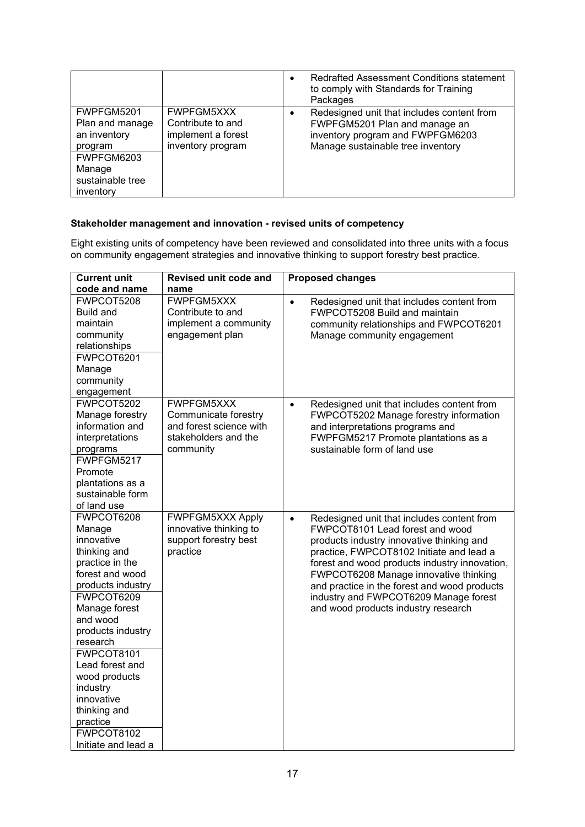|                                                                                                                   |                                                                                   | $\bullet$ | Redrafted Assessment Conditions statement<br>to comply with Standards for Training<br>Packages                                                       |
|-------------------------------------------------------------------------------------------------------------------|-----------------------------------------------------------------------------------|-----------|------------------------------------------------------------------------------------------------------------------------------------------------------|
| FWPFGM5201<br>Plan and manage<br>an inventory<br>program<br>FWPFGM6203<br>Manage<br>sustainable tree<br>inventory | <b>FWPFGM5XXX</b><br>Contribute to and<br>implement a forest<br>inventory program | $\bullet$ | Redesigned unit that includes content from<br>FWPFGM5201 Plan and manage an<br>inventory program and FWPFGM6203<br>Manage sustainable tree inventory |

#### **Stakeholder management and innovation - revised units of competency**

Eight existing units of competency have been reviewed and consolidated into three units with a focus on community engagement strategies and innovative thinking to support forestry best practice.

| <b>Current unit</b>                                                                                                                                                                                                                                                                                                                    | Revised unit code and                                                                                     | <b>Proposed changes</b>                                                                                                                                                                                                                                                                                                                                                                                       |
|----------------------------------------------------------------------------------------------------------------------------------------------------------------------------------------------------------------------------------------------------------------------------------------------------------------------------------------|-----------------------------------------------------------------------------------------------------------|---------------------------------------------------------------------------------------------------------------------------------------------------------------------------------------------------------------------------------------------------------------------------------------------------------------------------------------------------------------------------------------------------------------|
| code and name                                                                                                                                                                                                                                                                                                                          | name                                                                                                      |                                                                                                                                                                                                                                                                                                                                                                                                               |
| FWPCOT5208<br><b>Build and</b><br>maintain<br>community<br>relationships<br>FWPCOT6201<br>Manage<br>community<br>engagement                                                                                                                                                                                                            | <b>FWPFGM5XXX</b><br>Contribute to and<br>implement a community<br>engagement plan                        | $\bullet$<br>Redesigned unit that includes content from<br>FWPCOT5208 Build and maintain<br>community relationships and FWPCOT6201<br>Manage community engagement                                                                                                                                                                                                                                             |
| FWPCOT5202<br>Manage forestry<br>information and<br>interpretations<br>programs<br>FWPFGM5217<br>Promote<br>plantations as a<br>sustainable form<br>of land use                                                                                                                                                                        | <b>FWPFGM5XXX</b><br>Communicate forestry<br>and forest science with<br>stakeholders and the<br>community | Redesigned unit that includes content from<br>$\bullet$<br>FWPCOT5202 Manage forestry information<br>and interpretations programs and<br>FWPFGM5217 Promote plantations as a<br>sustainable form of land use                                                                                                                                                                                                  |
| FWPCOT6208<br>Manage<br>innovative<br>thinking and<br>practice in the<br>forest and wood<br>products industry<br>FWPCOT6209<br>Manage forest<br>and wood<br>products industry<br>research<br>FWPCOT8101<br>Lead forest and<br>wood products<br>industry<br>innovative<br>thinking and<br>practice<br>FWPCOT8102<br>Initiate and lead a | <b>FWPFGM5XXX Apply</b><br>innovative thinking to<br>support forestry best<br>practice                    | Redesigned unit that includes content from<br>$\bullet$<br>FWPCOT8101 Lead forest and wood<br>products industry innovative thinking and<br>practice, FWPCOT8102 Initiate and lead a<br>forest and wood products industry innovation,<br>FWPCOT6208 Manage innovative thinking<br>and practice in the forest and wood products<br>industry and FWPCOT6209 Manage forest<br>and wood products industry research |